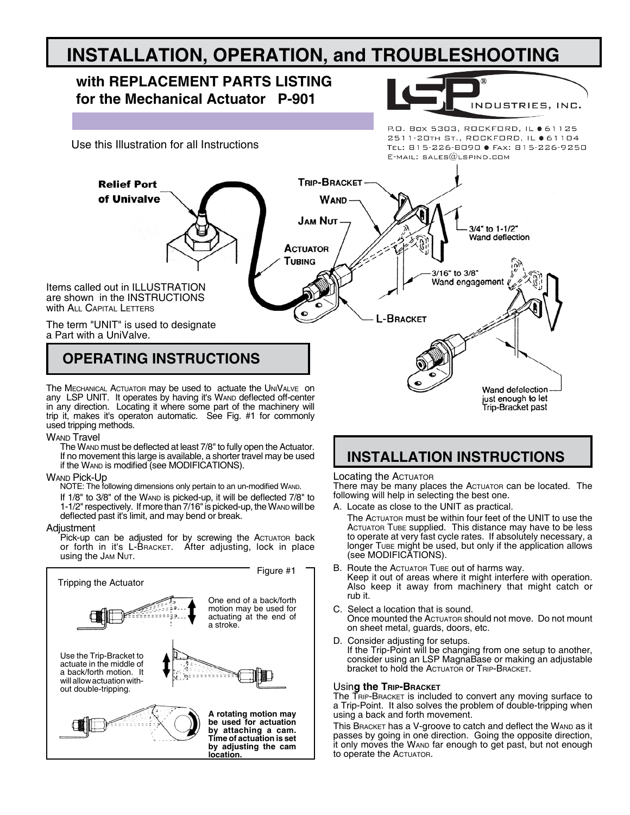# **INSTALLATION, OPERATION, and TROUBLESHOOTING**

# **with REPLACEMENT PARTS LISTING for the Mechanical Actuator P-901** INDUSTRIES, INC. P.O. Box 5303, ROCKFORD, IL ● 61125 2511-20TH ST., ROCKFORD, IL ● 61104 Use this Illustration for all Instructions TEL: 815-226-8090 ● FAX: 815-226-9250  $E$ -MAIL: SALES $@$ LSPIND.COM **TRIP-BRACKET Relief Port** of Univalve **WAND JAM NUT-**3/4" to 1-1/2" Wand deflection **ACTUATOR** TUBING 3/16" to 3/8" Wand engagement Items called out in ILLUSTRATION are shown in the INSTRUCTIONS With ALL CAPITAL LETTERS L-BRACKET The term "UNIT" is used to designate a Part with a UniValve. **OPERATING INSTRUCTIONS** Wand defelection

The MECHANICAL ACTUATOR may be used to actuate the UNIVALVE on any LSP UNIT. It operates by having it's WAND deflected off-center in any direction. Locating it where some part of the machinery will trip it, makes it's operaton automatic. See Fig. #1 for commonly used tripping methods.

# **WAND Travel**

The Wand must be deflected at least 7/8" to fully open the Actuator. If no movement this large is available, a shorter travel may be used if the WAND is modified (see MODIFICATIONS).

WAND Pick-Up<br>NOTE: The following dimensions only pertain to an un-modified WAND.

If 1/8" to 3/8" of the WAND is picked-up, it will be deflected 7/8" to 1-1/2" respectively. If more than 7/16" is picked-up, the WAND will be deflected past it's limit, and may bend or break.

### Adjustment

Pick-up can be adjusted for by screwing the Actuator back or forth in it's L-Bracket. After adjusting, lock in place using the JAM NUT.



# **INSTALLATION INSTRUCTIONS**

# Locating the Actuator

There may be many places the Actuator can be located. The following will help in selecting the best one.

just enough to let<br>Trip-Bracket past

- A. Locate as close to the UNIT as practical.
	- The Actuator must be within four feet of the UNIT to use the ACTUATOR TUBE supplied. This distance may have to be less to operate at very fast cycle rates. If absolutely necessary, a longer Tube might be used, but only if the application allows (see MODIFICATIONS).
- B. Route the Actuator Tube out of harms way. Keep it out of areas where it might interfere with operation. Also keep it away from machinery that might catch or rub it.
- C. Select a location that is sound. Once mounted the Actuator should not move. Do not mount on sheet metal, guards, doors, etc.
- D. Consider adjusting for setups. If the Trip-Point will be changing from one setup to another, consider using an LSP MagnaBase or making an adjustable bracket to hold the Actuator or TRIP-BRACKET.

# Usin**g the Trip-Bracket**

The TRIP-BRACKET is included to convert any moving surface to a Trip-Point. It also solves the problem of double-tripping when using a back and forth movement.

This BRACKET has a V-groove to catch and deflect the WAND as it passes by going in one direction. Going the opposite direction, it only moves the WAND far enough to get past, but not enough to operate the ACTUATOR.